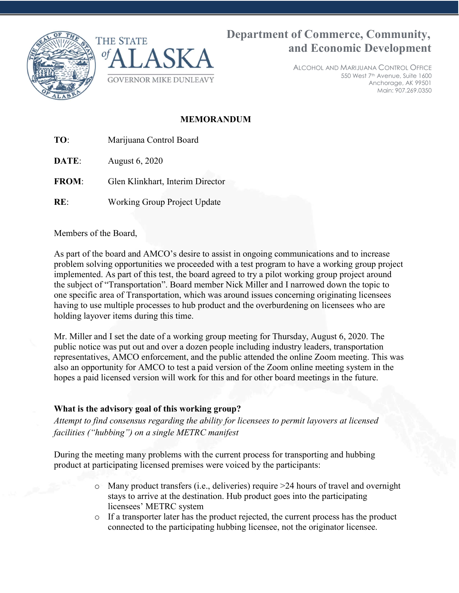



# Department of Commerce, Community, and Economic Development

ALCOHOL AND MARIJUANA CONTROL OFFICE 550 West 7th Avenue, Suite 1600 Anchorage, AK 99501 Main: 907.269.0350

## MEMORANDUM

TO: Marijuana Control Board

**DATE:** August 6, 2020

FROM: Glen Klinkhart, Interim Director

RE: Working Group Project Update

Members of the Board,

As part of the board and AMCO's desire to assist in ongoing communications and to increase problem solving opportunities we proceeded with a test program to have a working group project implemented. As part of this test, the board agreed to try a pilot working group project around the subject of "Transportation". Board member Nick Miller and I narrowed down the topic to one specific area of Transportation, which was around issues concerning originating licensees having to use multiple processes to hub product and the overburdening on licensees who are holding layover items during this time.

Mr. Miller and I set the date of a working group meeting for Thursday, August 6, 2020. The public notice was put out and over a dozen people including industry leaders, transportation representatives, AMCO enforcement, and the public attended the online Zoom meeting. This was also an opportunity for AMCO to test a paid version of the Zoom online meeting system in the hopes a paid licensed version will work for this and for other board meetings in the future.

### What is the advisory goal of this working group?

Attempt to find consensus regarding the ability for licensees to permit layovers at licensed facilities ("hubbing") on a single METRC manifest

During the meeting many problems with the current process for transporting and hubbing product at participating licensed premises were voiced by the participants:

- o Many product transfers (i.e., deliveries) require >24 hours of travel and overnight stays to arrive at the destination. Hub product goes into the participating licensees' METRC system
- o If a transporter later has the product rejected, the current process has the product connected to the participating hubbing licensee, not the originator licensee.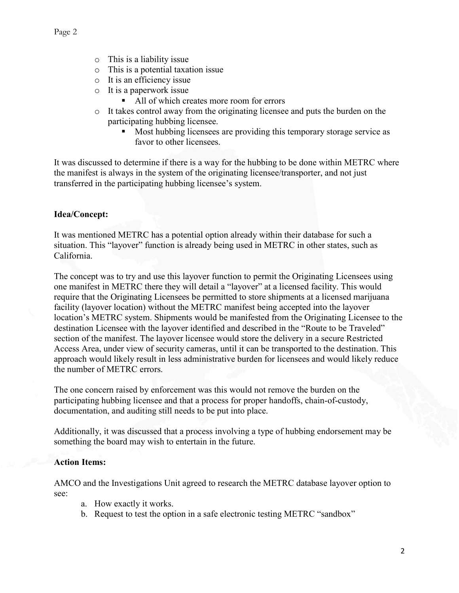- o This is a liability issue
- o This is a potential taxation issue
- o It is an efficiency issue
- o It is a paperwork issue
	- All of which creates more room for errors
- o It takes control away from the originating licensee and puts the burden on the participating hubbing licensee.
	- **Most hubbing licensees are providing this temporary storage service as** favor to other licensees.

It was discussed to determine if there is a way for the hubbing to be done within METRC where the manifest is always in the system of the originating licensee/transporter, and not just transferred in the participating hubbing licensee's system.

#### Idea/Concept:

It was mentioned METRC has a potential option already within their database for such a situation. This "layover" function is already being used in METRC in other states, such as California.

The concept was to try and use this layover function to permit the Originating Licensees using one manifest in METRC there they will detail a "layover" at a licensed facility. This would require that the Originating Licensees be permitted to store shipments at a licensed marijuana facility (layover location) without the METRC manifest being accepted into the layover location's METRC system. Shipments would be manifested from the Originating Licensee to the destination Licensee with the layover identified and described in the "Route to be Traveled" section of the manifest. The layover licensee would store the delivery in a secure Restricted Access Area, under view of security cameras, until it can be transported to the destination. This approach would likely result in less administrative burden for licensees and would likely reduce the number of METRC errors.

The one concern raised by enforcement was this would not remove the burden on the participating hubbing licensee and that a process for proper handoffs, chain-of-custody, documentation, and auditing still needs to be put into place.

Additionally, it was discussed that a process involving a type of hubbing endorsement may be something the board may wish to entertain in the future.

#### Action Items:

AMCO and the Investigations Unit agreed to research the METRC database layover option to see:

- a. How exactly it works.
- b. Request to test the option in a safe electronic testing METRC "sandbox"